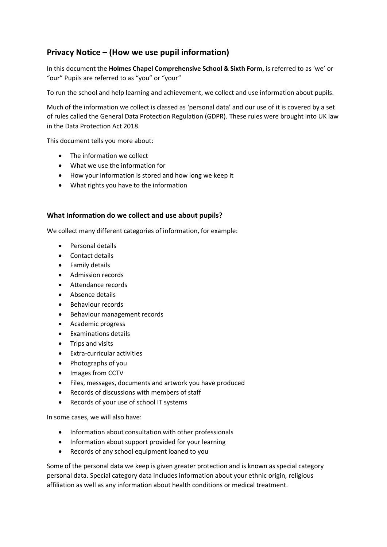# **Privacy Notice – (How we use pupil information)**

In this document the **Holmes Chapel Comprehensive School & Sixth Form**, is referred to as 'we' or "our" Pupils are referred to as "you" or "your"

To run the school and help learning and achievement, we collect and use information about pupils.

Much of the information we collect is classed as 'personal data' and our use of it is covered by a set of rules called the General Data Protection Regulation (GDPR). These rules were brought into UK law in the Data Protection Act 2018.

This document tells you more about:

- The information we collect
- What we use the information for
- How your information is stored and how long we keep it
- What rights you have to the information

# **What Information do we collect and use about pupils?**

We collect many different categories of information, for example:

- Personal details
- Contact details
- **•** Family details
- Admission records
- Attendance records
- Absence details
- Behaviour records
- Behaviour management records
- Academic progress
- Examinations details
- Trips and visits
- Extra-curricular activities
- Photographs of you
- Images from CCTV
- Files, messages, documents and artwork you have produced
- Records of discussions with members of staff
- Records of your use of school IT systems

In some cases, we will also have:

- Information about consultation with other professionals
- Information about support provided for your learning
- Records of any school equipment loaned to you

Some of the personal data we keep is given greater protection and is known as special category personal data. Special category data includes information about your ethnic origin, religious affiliation as well as any information about health conditions or medical treatment.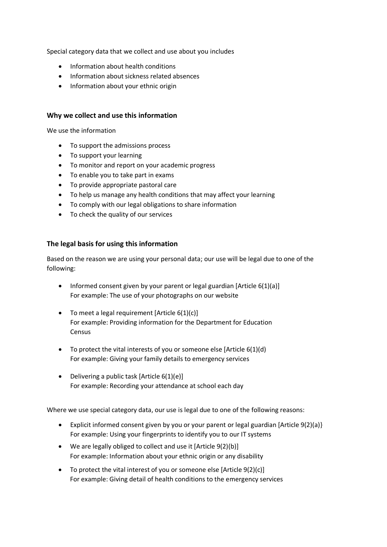Special category data that we collect and use about you includes

- Information about health conditions
- Information about sickness related absences
- Information about your ethnic origin

#### **Why we collect and use this information**

We use the information

- To support the admissions process
- To support your learning
- To monitor and report on your academic progress
- To enable you to take part in exams
- To provide appropriate pastoral care
- To help us manage any health conditions that may affect your learning
- To comply with our legal obligations to share information
- To check the quality of our services

# **The legal basis for using this information**

Based on the reason we are using your personal data; our use will be legal due to one of the following:

- Informed consent given by your parent or legal guardian [Article  $6(1)(a)$ ] For example: The use of your photographs on our website
- $\bullet$  To meet a legal requirement [Article 6(1)(c)] For example: Providing information for the Department for Education Census
- $\bullet$  To protect the vital interests of you or someone else [Article 6(1)(d) For example: Giving your family details to emergency services
- Delivering a public task [Article  $6(1)(e)$ ] For example: Recording your attendance at school each day

Where we use special category data, our use is legal due to one of the following reasons:

- Explicit informed consent given by you or your parent or legal guardian [Article 9(2)(a)} For example: Using your fingerprints to identify you to our IT systems
- We are legally obliged to collect and use it [Article 9(2)(b)] For example: Information about your ethnic origin or any disability
- To protect the vital interest of you or someone else [Article 9(2)(c)] For example: Giving detail of health conditions to the emergency services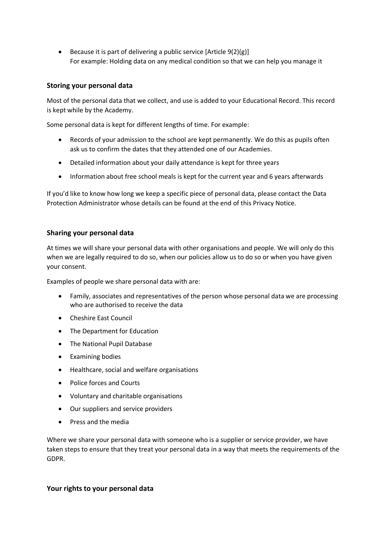Because it is part of delivering a public service  $[Article 9(2)(g)]$ For example: Holding data on any medical condition so that we can help you manage it

#### **Storing your personal data**

Most of the personal data that we collect, and use is added to your Educational Record. This record is kept while by the Academy.

Some personal data is kept for different lengths of time. For example:

- Records of your admission to the school are kept permanently. We do this as pupils often ask us to confirm the dates that they attended one of our Academies.
- Detailed information about your daily attendance is kept for three years
- Information about free school meals is kept for the current year and 6 years afterwards

If you'd like to know how long we keep a specific piece of personal data, please contact the Data Protection Administrator whose details can be found at the end of this Privacy Notice.

# **Sharing your personal data**

At times we will share your personal data with other organisations and people. We will only do this when we are legally required to do so, when our policies allow us to do so or when you have given your consent.

Examples of people we share personal data with are:

- Family, associates and representatives of the person whose personal data we are processing who are authorised to receive the data
- Cheshire East Council
- The Department for Education
- The National Pupil Database
- Examining bodies
- Healthcare, social and welfare organisations
- Police forces and Courts
- Voluntary and charitable organisations
- Our suppliers and service providers
- **•** Press and the media

Where we share your personal data with someone who is a supplier or service provider, we have taken steps to ensure that they treat your personal data in a way that meets the requirements of the GDPR.

#### **Your rights to your personal data**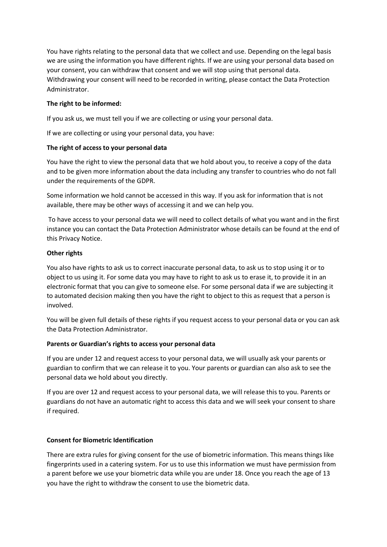You have rights relating to the personal data that we collect and use. Depending on the legal basis we are using the information you have different rights. If we are using your personal data based on your consent, you can withdraw that consent and we will stop using that personal data. Withdrawing your consent will need to be recorded in writing, please contact the Data Protection Administrator.

# **The right to be informed:**

If you ask us, we must tell you if we are collecting or using your personal data.

If we are collecting or using your personal data, you have:

# **The right of access to your personal data**

You have the right to view the personal data that we hold about you, to receive a copy of the data and to be given more information about the data including any transfer to countries who do not fall under the requirements of the GDPR.

Some information we hold cannot be accessed in this way. If you ask for information that is not available, there may be other ways of accessing it and we can help you.

To have access to your personal data we will need to collect details of what you want and in the first instance you can contact the Data Protection Administrator whose details can be found at the end of this Privacy Notice.

# **Other rights**

You also have rights to ask us to correct inaccurate personal data, to ask us to stop using it or to object to us using it. For some data you may have to right to ask us to erase it, to provide it in an electronic format that you can give to someone else. For some personal data if we are subjecting it to automated decision making then you have the right to object to this as request that a person is involved.

You will be given full details of these rights if you request access to your personal data or you can ask the Data Protection Administrator.

#### **Parents or Guardian's rights to access your personal data**

If you are under 12 and request access to your personal data, we will usually ask your parents or guardian to confirm that we can release it to you. Your parents or guardian can also ask to see the personal data we hold about you directly.

If you are over 12 and request access to your personal data, we will release this to you. Parents or guardians do not have an automatic right to access this data and we will seek your consent to share if required.

#### **Consent for Biometric Identification**

There are extra rules for giving consent for the use of biometric information. This means things like fingerprints used in a catering system. For us to use this information we must have permission from a parent before we use your biometric data while you are under 18. Once you reach the age of 13 you have the right to withdraw the consent to use the biometric data.